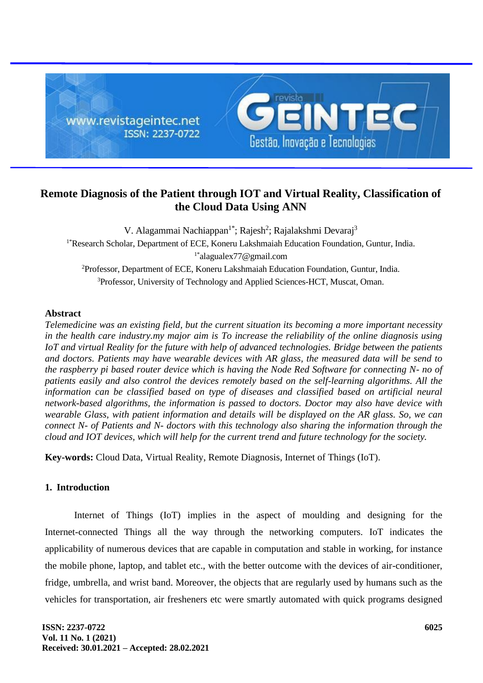

# **Remote Diagnosis of the Patient through IOT and Virtual Reality, Classification of the Cloud Data Using ANN**

V. Alagammai Nachiappan<sup>1\*</sup>; Rajesh<sup>2</sup>; Rajalakshmi Devaraj<sup>3</sup> <sup>1\*</sup>Research Scholar, Department of ECE, Koneru Lakshmaiah Education Foundation, Guntur, India. 1\*alagualex77@gmail.com <sup>2</sup>Professor, Department of ECE, Koneru Lakshmaiah Education Foundation, Guntur, India. <sup>3</sup>Professor, University of Technology and Applied Sciences-HCT, Muscat, Oman.

## **Abstract**

*Telemedicine was an existing field, but the current situation its becoming a more important necessity in the health care industry.my major aim is To increase the reliability of the online diagnosis using IoT and virtual Reality for the future with help of advanced technologies. Bridge between the patients and doctors. Patients may have wearable devices with AR glass, the measured data will be send to the raspberry pi based router device which is having the Node Red Software for connecting N- no of patients easily and also control the devices remotely based on the self-learning algorithms. All the information can be classified based on type of diseases and classified based on artificial neural network-based algorithms, the information is passed to doctors. Doctor may also have device with wearable Glass, with patient information and details will be displayed on the AR glass. So, we can connect N- of Patients and N- doctors with this technology also sharing the information through the cloud and IOT devices, which will help for the current trend and future technology for the society.*

**Key-words:** Cloud Data, Virtual Reality, Remote Diagnosis, Internet of Things (IoT).

## **1. Introduction**

Internet of Things (IoT) implies in the aspect of moulding and designing for the Internet-connected Things all the way through the networking computers. IoT indicates the applicability of numerous devices that are capable in computation and stable in working, for instance the mobile phone, laptop, and tablet etc., with the better outcome with the devices of air-conditioner, fridge, umbrella, and wrist band. Moreover, the objects that are regularly used by humans such as the vehicles for transportation, air fresheners etc were smartly automated with quick programs designed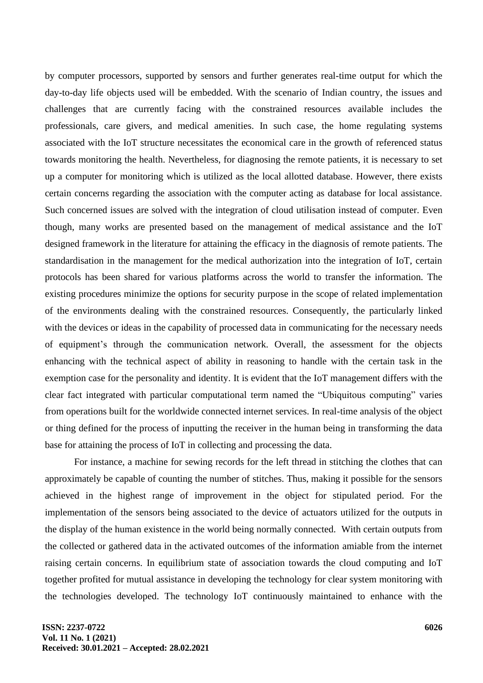by computer processors, supported by sensors and further generates real-time output for which the day-to-day life objects used will be embedded. With the scenario of Indian country, the issues and challenges that are currently facing with the constrained resources available includes the professionals, care givers, and medical amenities. In such case, the home regulating systems associated with the IoT structure necessitates the economical care in the growth of referenced status towards monitoring the health. Nevertheless, for diagnosing the remote patients, it is necessary to set up a computer for monitoring which is utilized as the local allotted database. However, there exists certain concerns regarding the association with the computer acting as database for local assistance. Such concerned issues are solved with the integration of cloud utilisation instead of computer. Even though, many works are presented based on the management of medical assistance and the IoT designed framework in the literature for attaining the efficacy in the diagnosis of remote patients. The standardisation in the management for the medical authorization into the integration of IoT, certain protocols has been shared for various platforms across the world to transfer the information. The existing procedures minimize the options for security purpose in the scope of related implementation of the environments dealing with the constrained resources. Consequently, the particularly linked with the devices or ideas in the capability of processed data in communicating for the necessary needs of equipment's through the communication network. Overall, the assessment for the objects enhancing with the technical aspect of ability in reasoning to handle with the certain task in the exemption case for the personality and identity. It is evident that the IoT management differs with the clear fact integrated with particular computational term named the "Ubiquitous computing" varies from operations built for the worldwide connected internet services. In real-time analysis of the object or thing defined for the process of inputting the receiver in the human being in transforming the data base for attaining the process of IoT in collecting and processing the data.

For instance, a machine for sewing records for the left thread in stitching the clothes that can approximately be capable of counting the number of stitches. Thus, making it possible for the sensors achieved in the highest range of improvement in the object for stipulated period. For the implementation of the sensors being associated to the device of actuators utilized for the outputs in the display of the human existence in the world being normally connected. With certain outputs from the collected or gathered data in the activated outcomes of the information amiable from the internet raising certain concerns. In equilibrium state of association towards the cloud computing and IoT together profited for mutual assistance in developing the technology for clear system monitoring with the technologies developed. The technology IoT continuously maintained to enhance with the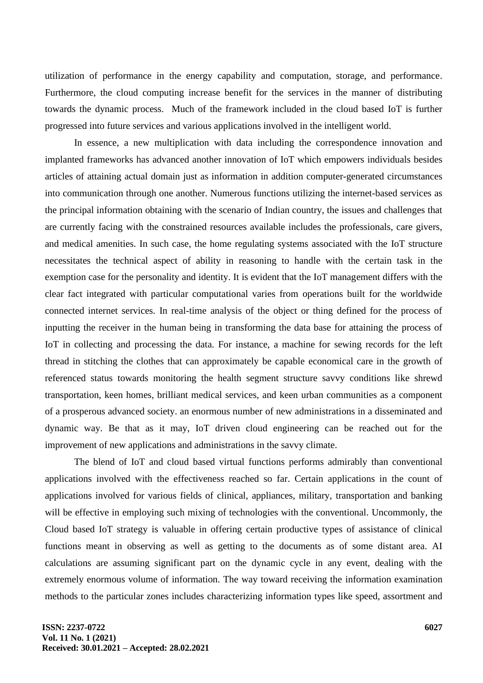utilization of performance in the energy capability and computation, storage, and performance. Furthermore, the cloud computing increase benefit for the services in the manner of distributing towards the dynamic process. Much of the framework included in the cloud based IoT is further progressed into future services and various applications involved in the intelligent world.

In essence, a new multiplication with data including the correspondence innovation and implanted frameworks has advanced another innovation of IoT which empowers individuals besides articles of attaining actual domain just as information in addition computer-generated circumstances into communication through one another. Numerous functions utilizing the internet-based services as the principal information obtaining with the scenario of Indian country, the issues and challenges that are currently facing with the constrained resources available includes the professionals, care givers, and medical amenities. In such case, the home regulating systems associated with the IoT structure necessitates the technical aspect of ability in reasoning to handle with the certain task in the exemption case for the personality and identity. It is evident that the IoT management differs with the clear fact integrated with particular computational varies from operations built for the worldwide connected internet services. In real-time analysis of the object or thing defined for the process of inputting the receiver in the human being in transforming the data base for attaining the process of IoT in collecting and processing the data. For instance, a machine for sewing records for the left thread in stitching the clothes that can approximately be capable economical care in the growth of referenced status towards monitoring the health segment structure savvy conditions like shrewd transportation, keen homes, brilliant medical services, and keen urban communities as a component of a prosperous advanced society. an enormous number of new administrations in a disseminated and dynamic way. Be that as it may, IoT driven cloud engineering can be reached out for the improvement of new applications and administrations in the savvy climate.

The blend of IoT and cloud based virtual functions performs admirably than conventional applications involved with the effectiveness reached so far. Certain applications in the count of applications involved for various fields of clinical, appliances, military, transportation and banking will be effective in employing such mixing of technologies with the conventional. Uncommonly, the Cloud based IoT strategy is valuable in offering certain productive types of assistance of clinical functions meant in observing as well as getting to the documents as of some distant area. AI calculations are assuming significant part on the dynamic cycle in any event, dealing with the extremely enormous volume of information. The way toward receiving the information examination methods to the particular zones includes characterizing information types like speed, assortment and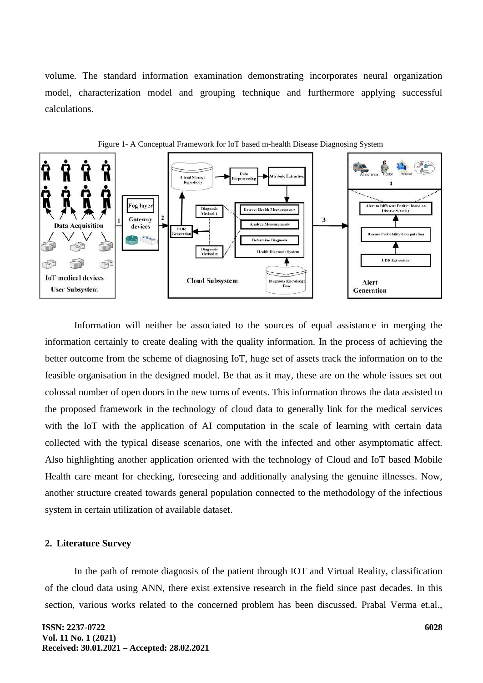volume. The standard information examination demonstrating incorporates neural organization model, characterization model and grouping technique and furthermore applying successful calculations.





Information will neither be associated to the sources of equal assistance in merging the information certainly to create dealing with the quality information. In the process of achieving the better outcome from the scheme of diagnosing IoT, huge set of assets track the information on to the feasible organisation in the designed model. Be that as it may, these are on the whole issues set out colossal number of open doors in the new turns of events. This information throws the data assisted to the proposed framework in the technology of cloud data to generally link for the medical services with the IoT with the application of AI computation in the scale of learning with certain data collected with the typical disease scenarios, one with the infected and other asymptomatic affect. Also highlighting another application oriented with the technology of Cloud and IoT based Mobile Health care meant for checking, foreseeing and additionally analysing the genuine illnesses. Now, another structure created towards general population connected to the methodology of the infectious system in certain utilization of available dataset.

#### **2. Literature Survey**

In the path of remote diagnosis of the patient through IOT and Virtual Reality, classification of the cloud data using ANN, there exist extensive research in the field since past decades. In this section, various works related to the concerned problem has been discussed. Prabal Verma et.al.,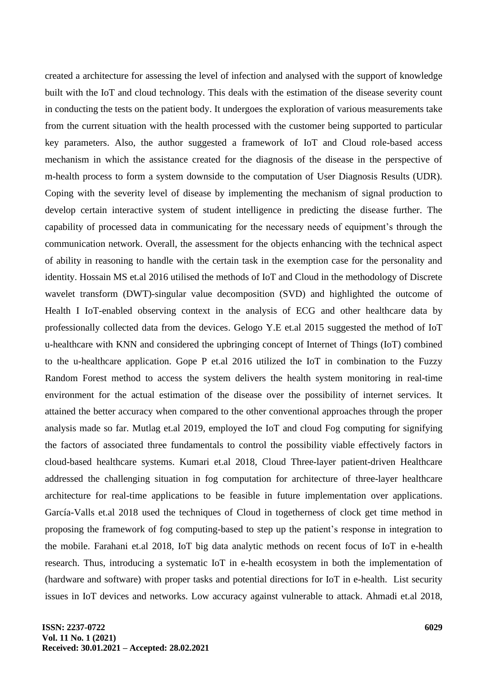created a architecture for assessing the level of infection and analysed with the support of knowledge built with the IoT and cloud technology. This deals with the estimation of the disease severity count in conducting the tests on the patient body. It undergoes the exploration of various measurements take from the current situation with the health processed with the customer being supported to particular key parameters. Also, the author suggested a framework of IoT and Cloud role-based access mechanism in which the assistance created for the diagnosis of the disease in the perspective of m-health process to form a system downside to the computation of User Diagnosis Results (UDR). Coping with the severity level of disease by implementing the mechanism of signal production to develop certain interactive system of student intelligence in predicting the disease further. The capability of processed data in communicating for the necessary needs of equipment's through the communication network. Overall, the assessment for the objects enhancing with the technical aspect of ability in reasoning to handle with the certain task in the exemption case for the personality and identity. Hossain MS et.al 2016 utilised the methods of IoT and Cloud in the methodology of Discrete wavelet transform (DWT)-singular value decomposition (SVD) and highlighted the outcome of Health I IoT-enabled observing context in the analysis of ECG and other healthcare data by professionally collected data from the devices. Gelogo Y.E et.al 2015 suggested the method of IoT u-healthcare with KNN and considered the upbringing concept of Internet of Things (IoT) combined to the u-healthcare application. Gope P et.al 2016 utilized the IoT in combination to the Fuzzy Random Forest method to access the system delivers the health system monitoring in real-time environment for the actual estimation of the disease over the possibility of internet services. It attained the better accuracy when compared to the other conventional approaches through the proper analysis made so far. Mutlag et.al 2019, employed the IoT and cloud Fog computing for signifying the factors of associated three fundamentals to control the possibility viable effectively factors in cloud-based healthcare systems. Kumari et.al 2018, Cloud Three-layer patient-driven Healthcare addressed the challenging situation in fog computation for architecture of three-layer healthcare architecture for real-time applications to be feasible in future implementation over applications. García-Valls et.al 2018 used the techniques of Cloud in togetherness of clock get time method in proposing the framework of fog computing-based to step up the patient's response in integration to the mobile. Farahani et.al 2018, IoT big data analytic methods on recent focus of IoT in e-health research. Thus, introducing a systematic IoT in e-health ecosystem in both the implementation of (hardware and software) with proper tasks and potential directions for IoT in e-health. List security issues in IoT devices and networks. Low accuracy against vulnerable to attack. Ahmadi et.al 2018,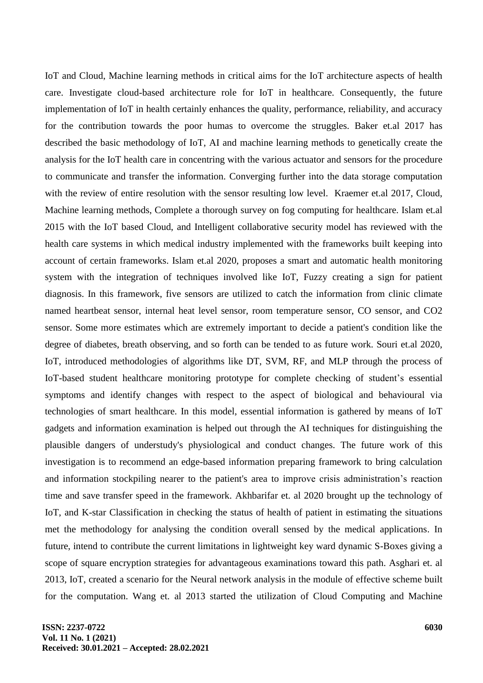IoT and Cloud, Machine learning methods in critical aims for the IoT architecture aspects of health care. Investigate cloud-based architecture role for IoT in healthcare. Consequently, the future implementation of IoT in health certainly enhances the quality, performance, reliability, and accuracy for the contribution towards the poor humas to overcome the struggles. Baker et.al 2017 has described the basic methodology of IoT, AI and machine learning methods to genetically create the analysis for the IoT health care in concentring with the various actuator and sensors for the procedure to communicate and transfer the information. Converging further into the data storage computation with the review of entire resolution with the sensor resulting low level. Kraemer et.al 2017, Cloud, Machine learning methods, Complete a thorough survey on fog computing for healthcare. Islam et.al 2015 with the IoT based Cloud, and Intelligent collaborative security model has reviewed with the health care systems in which medical industry implemented with the frameworks built keeping into account of certain frameworks. Islam et.al 2020, proposes a smart and automatic health monitoring system with the integration of techniques involved like IoT, Fuzzy creating a sign for patient diagnosis. In this framework, five sensors are utilized to catch the information from clinic climate named heartbeat sensor, internal heat level sensor, room temperature sensor, CO sensor, and CO2 sensor. Some more estimates which are extremely important to decide a patient's condition like the degree of diabetes, breath observing, and so forth can be tended to as future work. Souri et.al 2020, IoT, introduced methodologies of algorithms like DT, SVM, RF, and MLP through the process of IoT-based student healthcare monitoring prototype for complete checking of student's essential symptoms and identify changes with respect to the aspect of biological and behavioural via technologies of smart healthcare. In this model, essential information is gathered by means of IoT gadgets and information examination is helped out through the AI techniques for distinguishing the plausible dangers of understudy's physiological and conduct changes. The future work of this investigation is to recommend an edge-based information preparing framework to bring calculation and information stockpiling nearer to the patient's area to improve crisis administration's reaction time and save transfer speed in the framework. Akhbarifar et. al 2020 brought up the technology of IoT, and K-star Classification in checking the status of health of patient in estimating the situations met the methodology for analysing the condition overall sensed by the medical applications. In future, intend to contribute the current limitations in lightweight key ward dynamic S-Boxes giving a scope of square encryption strategies for advantageous examinations toward this path. Asghari et. al 2013, IoT, created a scenario for the Neural network analysis in the module of effective scheme built for the computation. Wang et. al 2013 started the utilization of Cloud Computing and Machine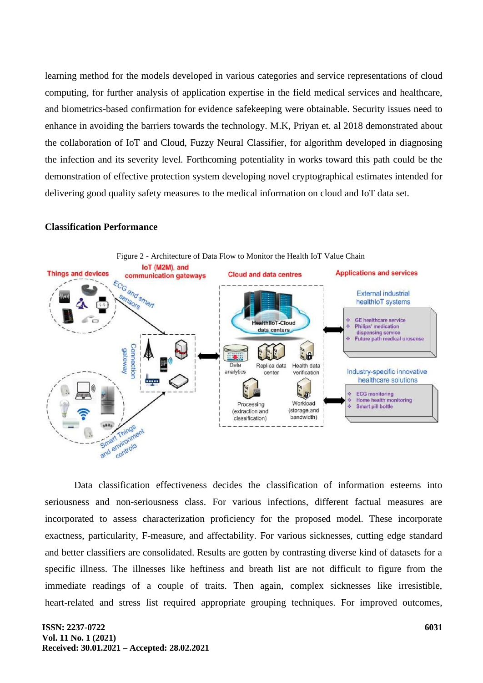learning method for the models developed in various categories and service representations of cloud computing, for further analysis of application expertise in the field medical services and healthcare, and biometrics-based confirmation for evidence safekeeping were obtainable. Security issues need to enhance in avoiding the barriers towards the technology. M.K, Priyan et. al 2018 demonstrated about the collaboration of IoT and Cloud, Fuzzy Neural Classifier, for algorithm developed in diagnosing the infection and its severity level. Forthcoming potentiality in works toward this path could be the demonstration of effective protection system developing novel cryptographical estimates intended for delivering good quality safety measures to the medical information on cloud and IoT data set.

### **Classification Performance**



Data classification effectiveness decides the classification of information esteems into seriousness and non-seriousness class. For various infections, different factual measures are incorporated to assess characterization proficiency for the proposed model. These incorporate exactness, particularity, F-measure, and affectability. For various sicknesses, cutting edge standard and better classifiers are consolidated. Results are gotten by contrasting diverse kind of datasets for a specific illness. The illnesses like heftiness and breath list are not difficult to figure from the immediate readings of a couple of traits. Then again, complex sicknesses like irresistible, heart-related and stress list required appropriate grouping techniques. For improved outcomes,

#### **ISSN: 2237-0722 Vol. 11 No. 1 (2021) Received: 30.01.2021 – Accepted: 28.02.2021**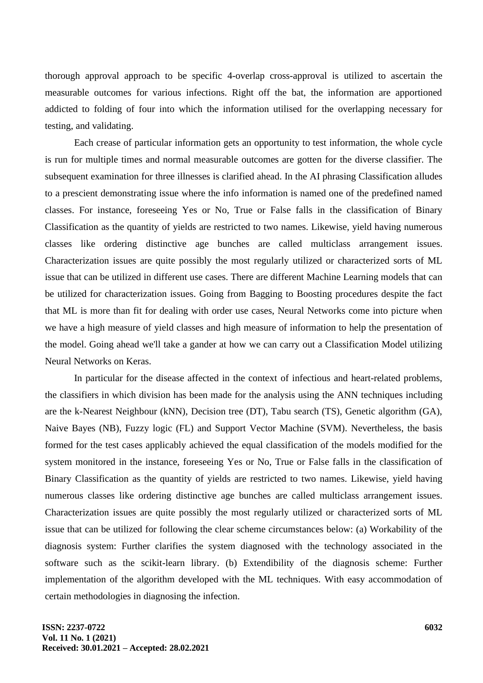thorough approval approach to be specific 4-overlap cross-approval is utilized to ascertain the measurable outcomes for various infections. Right off the bat, the information are apportioned addicted to folding of four into which the information utilised for the overlapping necessary for testing, and validating.

Each crease of particular information gets an opportunity to test information, the whole cycle is run for multiple times and normal measurable outcomes are gotten for the diverse classifier. The subsequent examination for three illnesses is clarified ahead. In the AI phrasing Classification alludes to a prescient demonstrating issue where the info information is named one of the predefined named classes. For instance, foreseeing Yes or No, True or False falls in the classification of Binary Classification as the quantity of yields are restricted to two names. Likewise, yield having numerous classes like ordering distinctive age bunches are called multiclass arrangement issues. Characterization issues are quite possibly the most regularly utilized or characterized sorts of ML issue that can be utilized in different use cases. There are different Machine Learning models that can be utilized for characterization issues. Going from Bagging to Boosting procedures despite the fact that ML is more than fit for dealing with order use cases, Neural Networks come into picture when we have a high measure of yield classes and high measure of information to help the presentation of the model. Going ahead we'll take a gander at how we can carry out a Classification Model utilizing Neural Networks on Keras.

In particular for the disease affected in the context of infectious and heart-related problems, the classifiers in which division has been made for the analysis using the ANN techniques including are the k-Nearest Neighbour (kNN), Decision tree (DT), Tabu search (TS), Genetic algorithm (GA), Naive Bayes (NB), Fuzzy logic (FL) and Support Vector Machine (SVM). Nevertheless, the basis formed for the test cases applicably achieved the equal classification of the models modified for the system monitored in the instance, foreseeing Yes or No, True or False falls in the classification of Binary Classification as the quantity of yields are restricted to two names. Likewise, yield having numerous classes like ordering distinctive age bunches are called multiclass arrangement issues. Characterization issues are quite possibly the most regularly utilized or characterized sorts of ML issue that can be utilized for following the clear scheme circumstances below: (a) Workability of the diagnosis system: Further clarifies the system diagnosed with the technology associated in the software such as the scikit-learn library. (b) Extendibility of the diagnosis scheme: Further implementation of the algorithm developed with the ML techniques. With easy accommodation of certain methodologies in diagnosing the infection.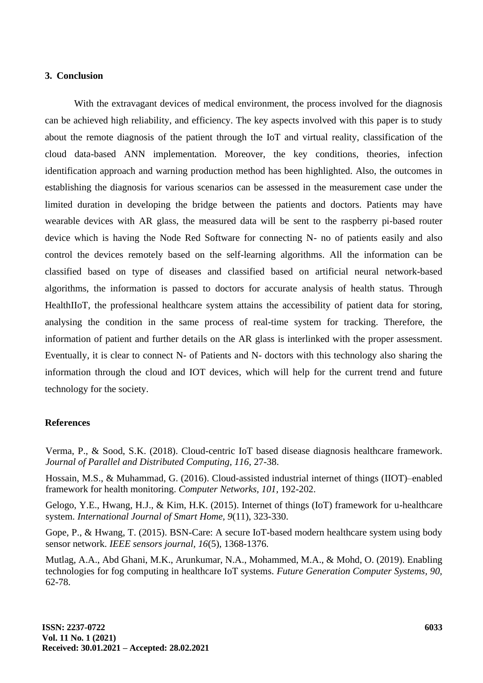## **3. Conclusion**

With the extravagant devices of medical environment, the process involved for the diagnosis can be achieved high reliability, and efficiency. The key aspects involved with this paper is to study about the remote diagnosis of the patient through the IoT and virtual reality, classification of the cloud data-based ANN implementation. Moreover, the key conditions, theories, infection identification approach and warning production method has been highlighted. Also, the outcomes in establishing the diagnosis for various scenarios can be assessed in the measurement case under the limited duration in developing the bridge between the patients and doctors. Patients may have wearable devices with AR glass, the measured data will be sent to the raspberry pi-based router device which is having the Node Red Software for connecting N- no of patients easily and also control the devices remotely based on the self-learning algorithms. All the information can be classified based on type of diseases and classified based on artificial neural network-based algorithms, the information is passed to doctors for accurate analysis of health status. Through HealthIIoT, the professional healthcare system attains the accessibility of patient data for storing, analysing the condition in the same process of real-time system for tracking. Therefore, the information of patient and further details on the AR glass is interlinked with the proper assessment. Eventually, it is clear to connect N- of Patients and N- doctors with this technology also sharing the information through the cloud and IOT devices, which will help for the current trend and future technology for the society.

#### **References**

Verma, P., & Sood, S.K. (2018). Cloud-centric IoT based disease diagnosis healthcare framework. *Journal of Parallel and Distributed Computing, 116,* 27-38.

Hossain, M.S., & Muhammad, G. (2016). Cloud-assisted industrial internet of things (IIOT)–enabled framework for health monitoring. *Computer Networks, 101,* 192-202.

Gelogo, Y.E., Hwang, H.J., & Kim, H.K. (2015). Internet of things (IoT) framework for u-healthcare system. *International Journal of Smart Home, 9*(11), 323-330.

Gope, P., & Hwang, T. (2015). BSN-Care: A secure IoT-based modern healthcare system using body sensor network. *IEEE sensors journal, 16*(5), 1368-1376.

Mutlag, A.A., Abd Ghani, M.K., Arunkumar, N.A., Mohammed, M.A., & Mohd, O. (2019). Enabling technologies for fog computing in healthcare IoT systems. *Future Generation Computer Systems, 90,* 62-78.